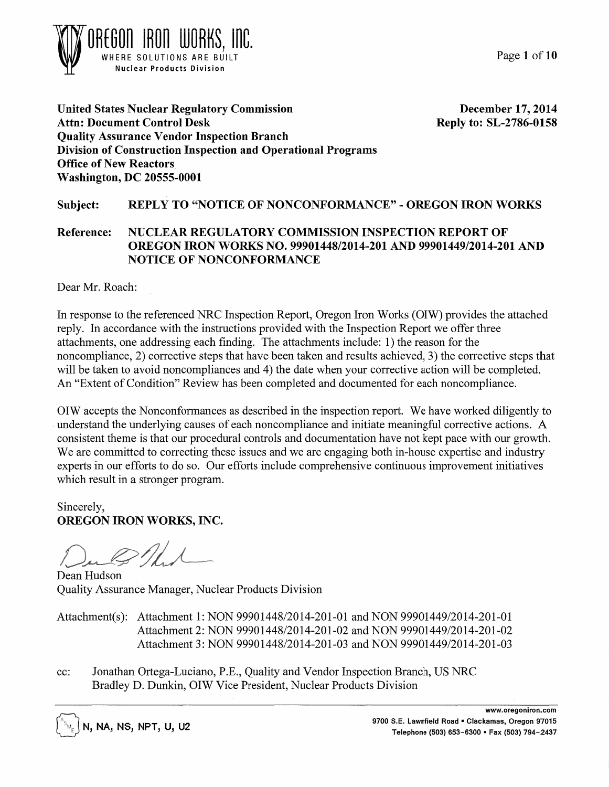Page 1 of 10



United States Nuclear Regulatory Commission Attn: Document Control Desk Quality Assurance Vendor Inspection Branch December 17, 2014 Reply to: SL-2786-0158 Division of Construction Inspection and Operational Programs Office of New Reactors, Washington, DC 20555-0001

# Subject: REPLY TO "NOTICE OF NONCONFORMANCE" - OREGON IRON WORKS

# Reference: NUCLEAR REGULATORY COMMISSION INSPECTION REPORT OF OREGON IRON WORKS NO. 99901448/2014-201 AND 99901449/2014-201 AND NOTICE OF NONCONFORMANCE

Dear Mr. Roach:

In response to the referenced NRC Inspection Report, Oregon Iron Works (OIW) provides the attached reply. In accordance with the instructions provided with the Inspection Report we offer three attachments, one addressing each finding. The attachments include: 1) the reason for the noncompliance, 2) corrective steps that have been taken and results achieved. 3) the corrective steps that will be taken to avoid noncompliances and 4) the date when your corrective action will be completed. An "Extent of Condition" Review has been completed and documented for each noncompliance.

OIW accepts the Nonconformances as described in the inspection report. We have worked diligently to understand the underlying causes of each noncompliance and initiate meaningful corrective actions. A consistent theme is that our procedural controls and documentation have not kept pace with our growth. We are committed to correcting these issues and we are engaging both in-house expertise and industry experts in our efforts to do so. Our efforts include comprehensive continuous improvement initiatives which result in a stronger program.

Sincerely, OREGON IRON WORKS, INC.

Dean Hudson Quality Assurance Manager, Nuclear Products Division

Attachment(s): Attachment 1: NON 99901448/2014-201-01 and NON 99901449/2014-201-01 Attachment 2: NON 99901448/2014-201-02 and NON 99901449/2014-201-02 Attachment 3: NON 99901448/2014-201-03 and NON 99901449/2014-201-03

cc: Jonathan Ortega-Luciano, P.E., Quality and Vendor Inspection Branch, US NRC Bradley D. Dunkin, OIW Vice President, Nuclear Products Division

N, NA, NS, NPT, U, U2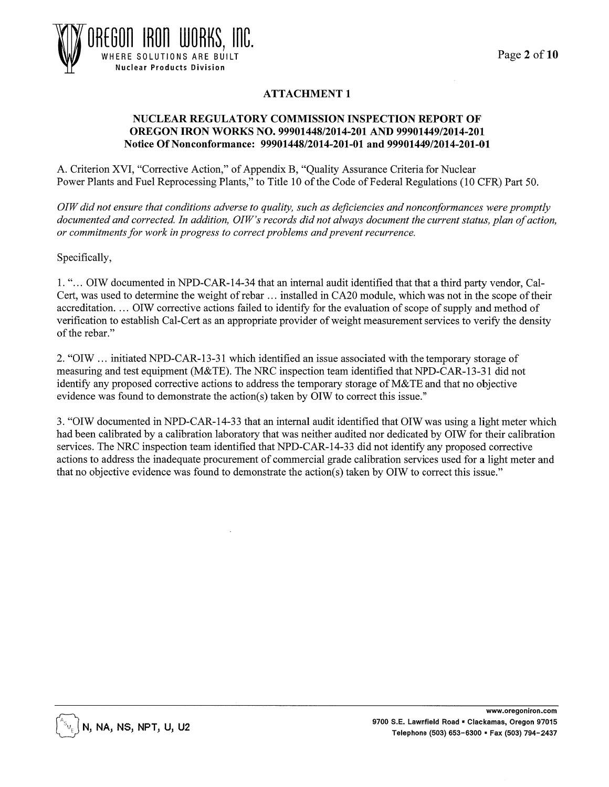

# ATTACHMENT 1

#### NUCLEAR REGULATORY COMMISSION INSPECTION REPORT OF OREGON IRON WORKS NO. 99901448/2014-201 AND 99901449/2014-201 Notice Of Nonconformance: 99901448/2014-201-01 and 99901449/2014-201-01

A. Criterion XVI, "Corrective Action," of Appendix B, "Quality Assurance Criteria for Nuclear Power Plants and Fuel Reprocessing Plants," to Title 10 of the Code of Federal Regulations (10 CPR) Part 50.

*OIW did not ensure that conditions adverse to quality, such as deficiencies and nonconformances were promptly*  documented and corrected. In addition, OIW's records did not always document the current status, plan of action, *or commitments for work in progress to correct problems and prevent recurrence.* 

Specifically,

1. " ... OIW documented in NPD-CAR-14-34 that an internal audit identified that that a third party vendor, Cal-Cert, was used to determine the weight of rebar ... installed in CA20 module, which was not in the scope of their accreditation. ... OIW corrective actions failed to identify for the evaluation of scope of supply and method of verification to establish Cal-Cert as an appropriate provider of weight measurement services to verify the density of the rebar."

2. "OIW ... initiated NPD-CAR-13-31 which identified an issue associated with the temporary storage of measuring and test equipment (M&TE). The NRC inspection team identified that NPD-CAR-13-31 did not identify any proposed corrective actions to address the temporary storage of M&TE and that no objective evidence was found to demonstrate the action(s) taken by OIW to correct this issue."

3. "OIW documented in NPD-CAR-14-33 that an internal audit identified that OIW was using a light meter which had been calibrated by a calibration laboratory that was neither audited nor dedicated by OIW for their calibration services. The NRC inspection team identified that NPD-CAR-14-33 did not identify any proposed corrective actions to address the inadequate procurement of commercial grade calibration services used for a light meter and that no objective evidence was found to demonstrate the action(s) taken by OIW to correct this issue."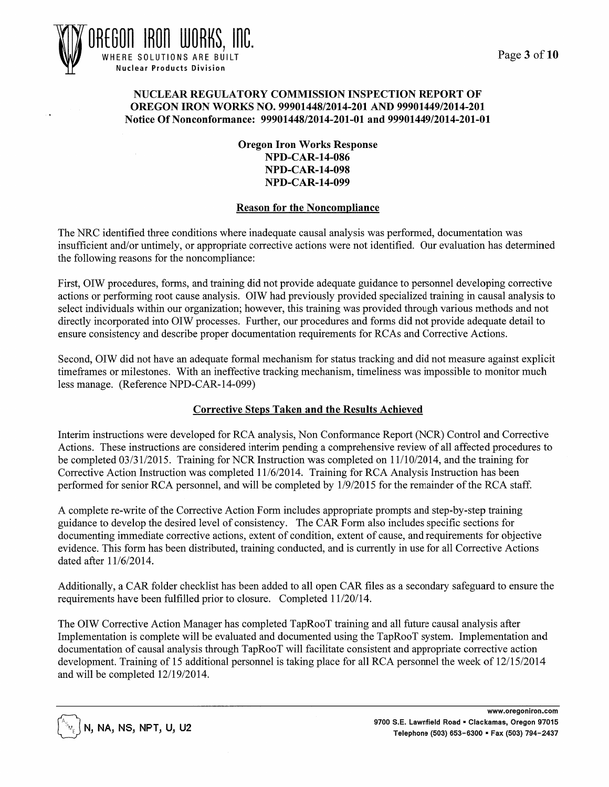

#### NUCLEAR REGULATORY COMMISSION INSPECTION REPORT OF OREGON IRON WORKS NO. 99901448/2014-201 AND 99901449/2014-201 Notice Of Nonconformance: 99901448/2014-201-01 and 99901449/2014-201-01

Oregon Iron Works Response NPD-CAR-14-086 NPD-CAR-14-098 NPD-CAR-14-099

#### **Reason for the Noncompliance**

The NRC identified three conditions where inadequate causal analysis was performed, documentation was insufficient and/or untimely, or appropriate corrective actions were not identified. Our evaluation has determined the following reasons for the noncompliance:

First, OIW procedures, forms, and training did not provide adequate guidance to personnel developing corrective actions or performing root cause analysis. OIW had previously provided specialized training in causal analysis to select individuals within our organization; however, this training was provided through various methods and not directly incorporated into OIW processes. Further, our procedures and forms did not provide adequate detail to ensure consistency and describe proper documentation requirements for RCAs and Corrective Actions.

Second, OIW did not have an adequate formal mechanism for status tracking and did not measure against explicit timeframes or milestones. With an ineffective tracking mechanism, timeliness was impossible to monitor much less manage. (Reference NPD-CAR-14-099)

#### Corrective Steps Taken and the Results Achieved

Interim instructions were developed for RCA analysis, Non Conformance Report (NCR) Control and Corrective Actions. These instructions are considered interim pending a comprehensive review of all affected procedures to be completed 03/31/2015. Training for NCR Instruction was completed on 11/10/2014, and the training for Corrective Action Instruction was completed 11/6/2014. Training for RCA Analysis Instruction has been performed for senior RCA personnel, and will be completed by 1/9/2015 for the remainder of the RCA staff.

A complete re-write of the Corrective Action Form includes appropriate prompts and step-by-step training guidance to develop the desired level of consistency. The CAR Form also includes specific sections for documenting immediate corrective actions, extent of condition, extent of cause, and requirements for objective evidence. This form has been distributed, training conducted, and is currently in use for all Corrective Actions dated after 11/6/2014.

Additionally, a CAR folder checklist has been added to all open CAR files as a secondary safeguard to ensure the requirements have been fulfilled prior to closure. Completed 11/20/14.

The OIW Corrective Action Manager has completed TapRooT training and all future causal analysis after Implementation is complete will be evaluated and documented using the TapRooT system. Implementation and documentation of causal analysis through TapRooT will facilitate consistent and appropriate corrective action development. Training of 15 additional personnel is taking place for all RCA personnel the week of 12/15/2014 and will be completed 12/19/2014.

 $\mathbb{N}_{\epsilon} \bigl]$ N, NA, NS, NPT, U, U2

www.oregoniron.com 9700 S.E. Lawnfield Road • Clackamas, Oregon 97015 Telephone (503) 653-6300 • Fax (503) 794-2437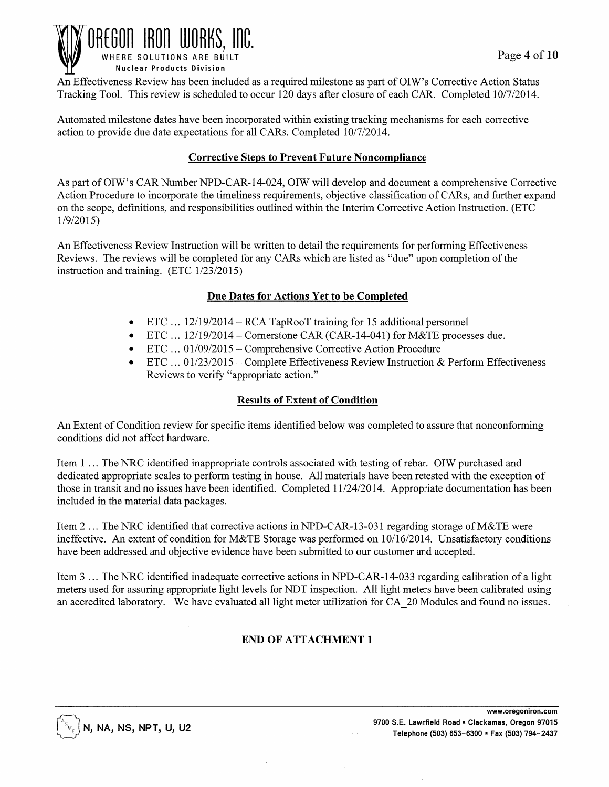

An Effectiveness Review has been included as a required milestone as part ofOIW's Corrective Action Status Tracking Tool. This review is scheduled to occur 120 days after closure of each CAR. Completed 10/7/2014.

Automated milestone dates have been incorporated within existing tracking mechanisms for each corrective action to provide due date expectations for all CARs. Completed 10/7/2014.

## Corrective Steps to Prevent Future Noncompliance

As part of OIW's CAR Number NPD-CAR-14-024, OIW will develop and document a comprehensive Corrective Action Procedure to incorporate the timeliness requirements, objective classification of CARs, and further expand on the scope, definitions, and responsibilities outlined within the Interim Corrective Action Instruction. (ETC 1/9/2015)

An Effectiveness Review Instruction will be written to detail the requirements for performing Effectiveness Reviews. The reviews will be completed for any CARs which are listed as "due" upon completion of the instruction and training.  $(ETC 1/23/2015)$ 

## Due Dates for Actions Yet to be Completed

- ETC ... 12/19/2014 RCA TapRooT training for 15 additional personnel
- ETC ... 12/19/2014- Cornerstone CAR (CAR-14-041) for M&TE processes due.
- ETC  $\dots$  01/09/2015 Comprehensive Corrective Action Procedure
- ETC  $\dots$  01/23/2015 Complete Effectiveness Review Instruction & Perform Effectiveness Reviews to verify "appropriate action."

## Results of Extent of Condition

An Extent of Condition review for specific items identified below was completed to assure that nonconforming conditions did not affect hardware.

Item 1 ... The NRC identified inappropriate controls associated with testing ofrebar. OIW purchased and dedicated appropriate scales to perform testing in house. All materials have been retested with the exception of those in transit and no issues have been identified. Completed 11/24/2014. Appropriate documentation has been included in the material data packages.

Item 2 ... The NRC identified that corrective actions in NPD-CAR-13-031 regarding storage of M&TE were ineffective. An extent of condition for M&TE Storage was performed on 10/16/2014. Unsatisfactory conditions have been addressed and objective evidence have been submitted to our customer and accepted.

Item 3 ... The NRC identified inadequate corrective actions in NPD-CAR -14-03 3 regarding calibration of a light meters used for assuring appropriate light levels for NDT inspection. All light meters have been calibrated using an accredited laboratory. We have evaluated all light meter utilization for CA 20 Modules and found no issues.

# END OF ATTACHMENT 1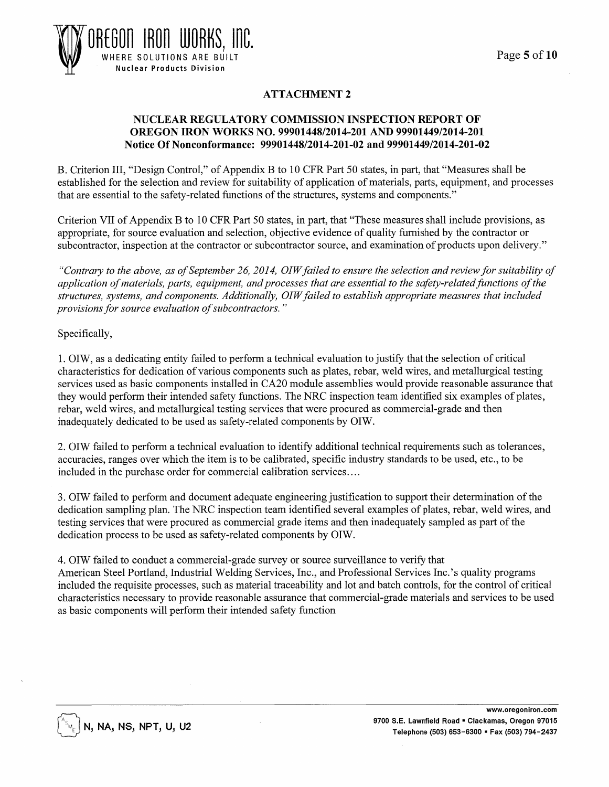

# ATTACHMENT 2

#### NUCLEAR REGULATORY COMMISSION INSPECTION REPORT OF OREGON IRON WORKS NO. 99901448/2014-201 AND 99901449/2014-201 Notice Of Nonconformance: 99901448/2014-201-02 and 99901449/2014-201-02

B. Criterion III, "Design Control," of Appendix B to 10 CFR Part 50 states, in part, that "Measures shall be established for the selection and review for suitability of application of materials, parts, equipment, and processes that are essential to the safety-related functions of the structures, systems and components."

Criterion VII of Appendix B to 10 CFR Part 50 states, in part, that "These measures shall include provisions, as appropriate, for source evaluation and selection, objective evidence of quality furnished by the contractor or subcontractor, inspection at the contractor or subcontractor source, and examination of products upon delivery."

*"Contrary to the above, as of September 26, 2014, OIW failed to ensure the selection and review for suitability of application of materials, parts, equipment, and processes that are essential to the safety-related functions of the structures, systems, and components. Additionally, OIW failed to establish appropriate measures that included provisions for source evaluation of subcontractors.* "

Specifically,

1. OIW, as a dedicating entity failed to perform a technical evaluation to justify that the selection of critical characteristics for dedication of various components such as plates, rebar, weld wires, and metallurgical testing services used as basic components installed in CA20 module assemblies would provide reasonable assurance that they would perform their intended safety functions. The NRC inspection team identified six examples of plates, rebar, weld wires, and metallurgical testing services that were procured as commercial-grade and then inadequately dedicated to be used as safety-related components by OIW.

2. OIW failed to perform a technical evaluation to identify additional technical requirements such as tolerances, accuracies, ranges over which the item is to be calibrated, specific industry standards to be used, etc., to be included in the purchase order for commercial calibration services ....

3. OIW failed to perform and document adequate engineering justification to support their determination of the dedication sampling plan. The NRC inspection team identified several examples of plates, rebar, weld wires, and testing services that were procured as commercial grade items and then inadequately sampled as part of the dedication process to be used as safety-related components by OIW.

4. OIW failed to conduct a commercial-grade survey or source surveillance to verify that American Steel Portland, Industrial Welding Services, Inc., and Professional Services Inc.'s quality programs included the requisite processes, such as material traceability and lot and batch controls, for the control of critical characteristics necessary to provide reasonable assurance that commercial-grade materials and services to be used as basic components will perform their intended safety function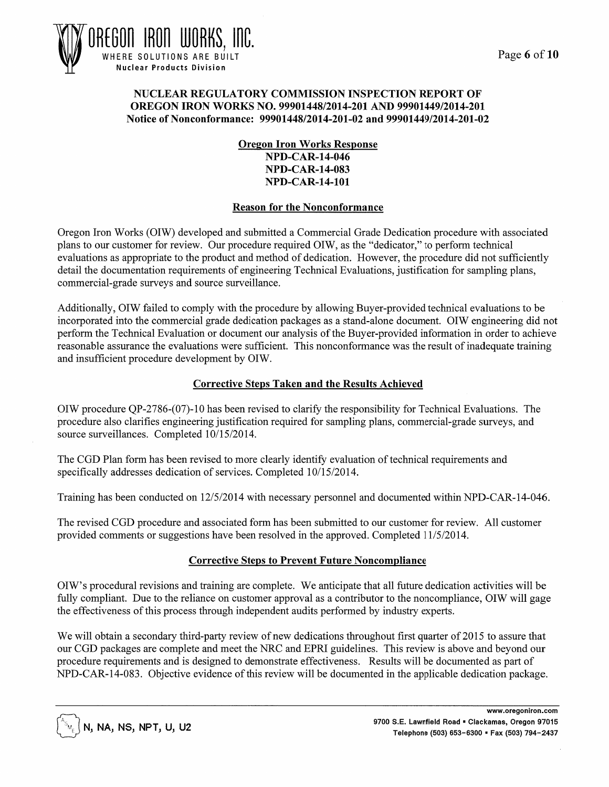

#### NUCLEAR REGULATORY COMMISSION INSPECTION REPORT OF OREGON IRON WORKS NO. 99901448/2014-201 AND 99901449/2014-201 Notice of Nonconformance: 99901448/2014-201-02 and 99901449/2014-201-02

Oregon Iron Works Response NPD-CAR-14-046 NPD-CAR-14-083 NPD-CAR-14-101

#### Reason for the Nonconformance

Oregon Iron Works (OIW) developed and submitted a Commercial Grade Dedication procedure with associated plans to our customer for review. Our procedure required OIW, as the "dedicator," to perform technical evaluations as appropriate to the product and method of dedication. However, the procedure did not sufficiently detail the documentation requirements of engineering Technical Evaluations, justification for sampling plans, commercial-grade surveys and source surveillance.

Additionally, OIW failed to comply with the procedure by allowing Buyer-provided technical evaluations to be incorporated into the commercial grade dedication packages as a stand-alone document. OIW engineering did not perform the Technical Evaluation or document our analysis of the Buyer-provided information in order to achieve reasonable assurance the evaluations were sufficient. This nonconformance was the result of inadequate training and insufficient procedure development by OIW.

## Corrective Steps Taken and the Results Achieved

OIW procedure QP-2786-(07)-1 0 has been revised to clarify the responsibility for Technical Evaluations. The procedure also clarifies engineering justification required for sampling plans, commercial-grade surveys, and source surveillances. Completed 10/15/2014.

The CGD Plan form has been revised to more clearly identify evaluation of technical requirements and specifically addresses dedication of services. Completed 10/15/2014.

Training has been conducted on 12/5/2014 with necessary personnel and documented within NPD-CAR-14-046.

The revised CGD procedure and associated form has been submitted to our customer for review. All customer provided comments or suggestions have been resolved in the approved. Completed 11/5/2014.

## Corrective Steps to Prevent Future Noncompliance

OIW' s procedural revisions and training are complete. We anticipate that all future dedication activities will be fully compliant. Due to the reliance on customer approval as a contributor to the noncompliance, OIW will gage the effectiveness of this process through independent audits performed by industry experts.

We will obtain a secondary third-party review of new dedications throughout first quarter of 2015 to assure that our CGD packages are complete and meet the NRC and EPRI guidelines. This review is above and beyond our procedure requirements and is designed to demonstrate effectiveness. Results will be documented as part of NPD-CAR-14-083. Objective evidence of this review will be documented in the applicable dedication package.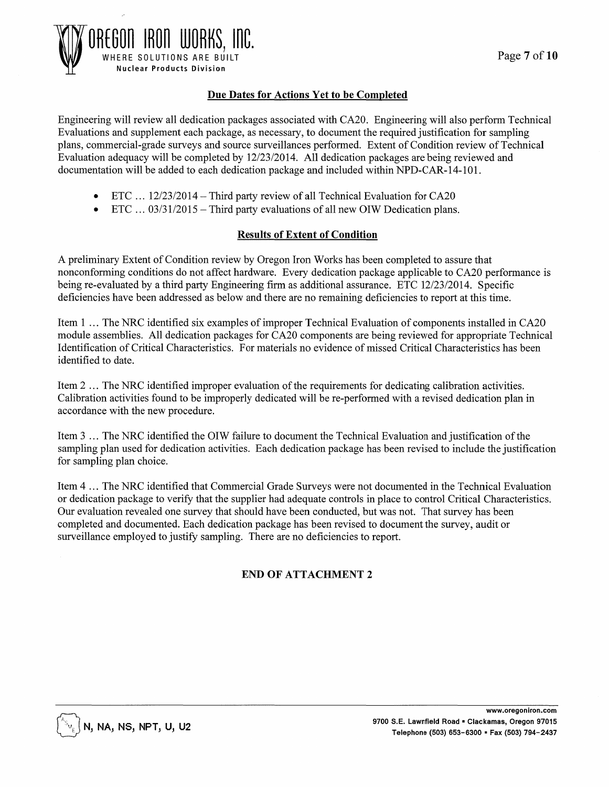

## Due Dates for Actions Yet to be Completed

Engineering will review all dedication packages associated with CA20. Engineering will also perform Technical Evaluations and supplement each package, as necessary, to document the required justification for sampling plans, commercial-grade surveys and source surveillances performed. Extent of Condition review of Technical Evaluation adequacy will be completed by 12/23/2014. All dedication packages are being reviewed and documentation will be added to each dedication package and included within NPD-CAR-14-101.

- ETC ... 12/23/2014 Third party review of all Technical Evaluation for CA20
- ETC  $\ldots$  03/31/2015 Third party evaluations of all new OIW Dedication plans.

#### Results of Extent of Condition

A preliminary Extent of Condition review by Oregon Iron Works has been completed to assure that nonconforming conditions do not affect hardware. Every dedication package applicable to CA20 performance is being re-evaluated by a third party Engineering firm as additional assurance. ETC 12/23/2014. Specific deficiencies have been addressed as below and there are no remaining deficiencies to report at this time.

Item 1 ... The NRC identified six examples of improper Technical Evaluation of components installed in CA20 module assemblies. All dedication packages for CA20 components are being reviewed for appropriate Technical Identification of Critical Characteristics. For materials no evidence of missed Critical Characteristics has been identified to date.

Item 2 ... The NRC identified improper evaluation of the requirements for dedicating calibration activities. Calibration activities found to be improperly dedicated will be re-performed with a revised dedication plan in accordance with the new procedure.

Item 3 ... The NRC identified the OIW failure to document the Technical Evaluation and justification of the sampling plan used for dedication activities. Each dedication package has been revised to include the justification for sampling plan choice.

Item 4 ... The NRC identified that Commercial Grade Surveys were not documented in the Technical Evaluation or dedication package to verify that the supplier had adequate controls in place to control Critical Characteristics. Our evaluation revealed one survey that should have been conducted, but was not. That survey has been completed and documented. Each dedication package has been revised to document the survey, audit or surveillance employed to justify sampling. There are no deficiencies to report.

# END OF ATTACHMENT 2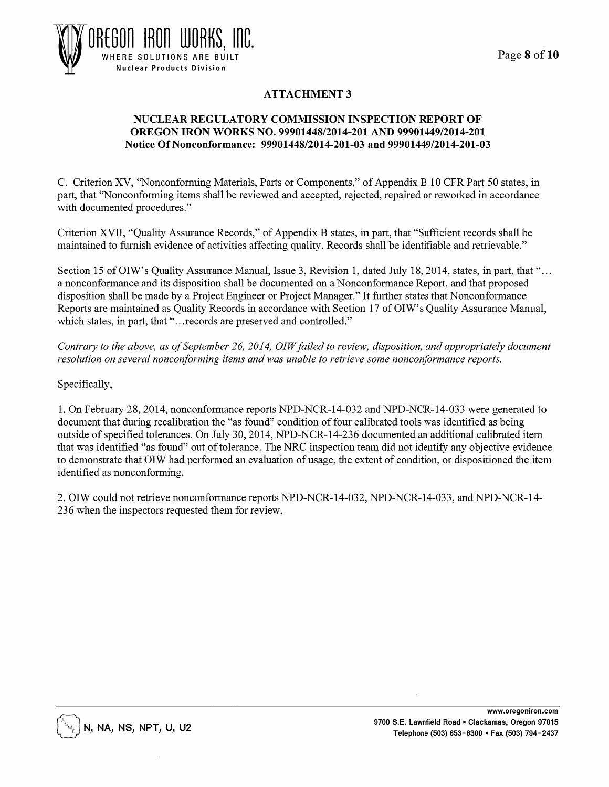

# ATTACHMENT 3

#### NUCLEAR REGULATORY COMMISSION INSPECTION REPORT OF OREGON IRON WORKS NO. 99901448/2014-201 AND 99901449/2014-201 Notice Of Nonconformance: 99901448/2014-201-03 and 99901449/2014-201-03

C. Criterion XV, "Nonconforming Materials, Parts or Components," of Appendix B 10 CFR Part 50 states, in part, that "Nonconforming items shall be reviewed and accepted, rejected, repaired or reworked in accordance with documented procedures."

Criterion XVII, "Quality Assurance Records," of Appendix B states, in part, that "Sufficient records shall be maintained to furnish evidence of activities affecting quality. Records shall be identifiable and retrievable."

Section 15 of OIW's Quality Assurance Manual, Issue 3, Revision 1, dated July 18, 2014, states, in part, that "... a nonconformance and its disposition shall be documented on aN onconformance Report, and that proposed disposition shall be made by a Project Engineer or Project Manager." It further states that Nonconformance Reports are maintained as Quality Records in accordance with Section 17 of OIW' s Quality Assurance Manual, which states, in part, that "... records are preserved and controlled."

*Contrary to the above, as of September 26, 2014, OIW failed to review, disposition, and appropriately document resolution on several nonconforming items and was unable to retrieve some nonconformance reports.* 

Specifically,

1. On February 28,2014, nonconformance reports NPD-NCR-14-032 and NPD-NCR-14-033 were generated to document that during recalibration the "as found" condition of four calibrated tools was identified as being outside of specified tolerances. On July 30, 2014, NPD-NCR-14-236 documented an additional calibrated item that was identified "as found" out of tolerance. The NRC inspection team did not identify any objective evidence to demonstrate that OIW had performed an evaluation of usage, the extent of condition, or dispositioned the item identified as nonconforming.

2. OIW could not retrieve nonconformance reports NPD-NCR-14-032, NPD-NCR-14-033, and NPD-NCR-14- 236 when the inspectors requested them for review.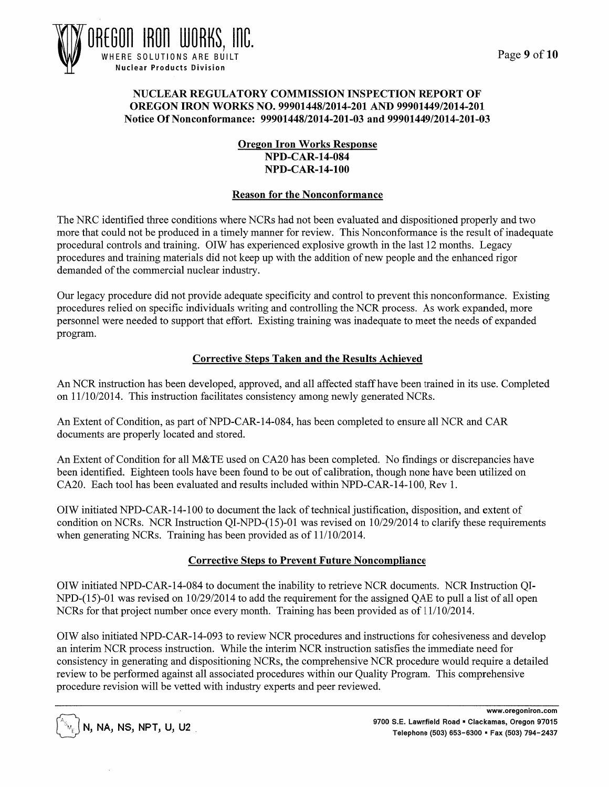



#### NUCLEAR REGULATORY COMMISSION INSPECTION REPORT OF OREGON IRON WORKS NO. 99901448/2014-201 AND 99901449/2014-201 Notice Of Nonconformance: 99901448/2014-201-03 and 99901449/2014-201-03

## Oregon Iron Works Response NPD-CAR-14-084 NPD-CAR-14-100

#### Reason for the Nonconformance

The NRC identified three conditions where NCRs had not been evaluated and dispositioned properly and two more that could not be produced in a timely manner for review. This Nonconformance is the result of inadequate procedural controls and training. OIW has experienced explosive growth in the last 12 months. Legacy procedures and training materials did not keep up with the addition of new people and the enhanced rigor demanded of the commercial nuclear industry.

Our legacy procedure did not provide adequate specificity and control to prevent this nonconformance. Existing procedures relied on specific individuals writing and controlling the NCR process. As work expanded, more personnel were needed to support that effort. Existing training was inadequate to meet the needs of expanded program.

## Corrective Steps Taken and the Results Achieved

An NCR instruction has been developed, approved, and all affected staff have been trained in its use. Completed on 11/10/2014. This instruction facilitates consistency among newly generated NCRs.

An Extent of Condition, as part of NPD-CAR-14-084, has been completed to ensure all NCR and CAR documents are properly located and stored.

An Extent of Condition for all M&TE used on CA20 has been completed. No findings or discrepancies have been identified. Eighteen tools have been found to be out of calibration, though none have been utilized on CA20. Each tool has been evaluated and results included within NPD-CAR-14-100, Rev 1.

OIW initiated NPD-CAR-14-100 to document the lack of technical justification, disposition, and extent of condition on NCRs. NCR Instruction QI-NPD-(15)-01 was revised on 10/29/2014 to clarify these requirements when generating NCRs. Training has been provided as of 11/10/2014.

## Corrective Steps to Prevent Future Noncompliance

OIW initiated NPD-CAR-14-084 to document the inability to retrieve NCR documents. NCR Instruction QI-NPD-(15)-01 was revised on 10/29/2014 to add the requirement for the assigned QAE to pull a list of all open NCRs for that project number once every month. Training has been provided as of 11/10/2014.

OIW also initiated NPD-CAR-14-093 to review NCR procedures and instructions for cohesiveness and develop an interim NCR process instruction. While the interim NCR instruction satisfies the immediate need for consistency in generating and dispositioning NCRs, the comprehensive NCR procedure would require a detailed review to be performed against all associated procedures within our Quality Program. This comprehensive procedure revision will be vetted with industry experts and peer reviewed.